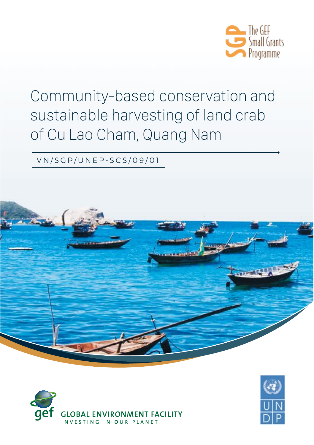

# Community-based conservation and sustainable harvesting of land crab of Cu Lao Cham, Quang Nam

VN/SGP/UNEP-SCS/09/01





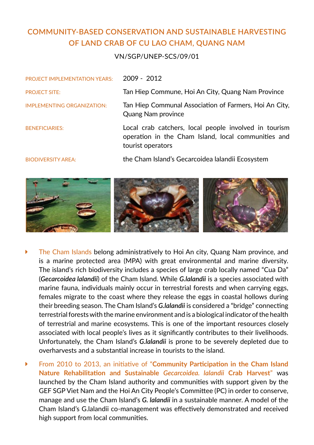## **COMMUNITY-BASED CONSERVATION AND SUSTAINABLE HARVESTING OF LAND CRAB OF CU LAO CHAM, QUANG NAM**

#### VN/SGP/UNEP-SCS/09/01

| <b>PROJECT IMPLEMENTATION YEARS:</b> | $2009 - 2012$                                                                                                                     |
|--------------------------------------|-----------------------------------------------------------------------------------------------------------------------------------|
| <b>PROJECT SITE:</b>                 | Tan Hiep Commune, Hoi An City, Quang Nam Province                                                                                 |
| <b>IMPLEMENTING ORGANIZATION:</b>    | Tan Hiep Communal Association of Farmers, Hoi An City,<br>Quang Nam province                                                      |
| <b>BENEFICIARIES:</b>                | Local crab catchers, local people involved in tourism<br>operation in the Cham Island, local communities and<br>tourist operators |
| <b>BIODIVERSITY AREA:</b>            | the Cham Island's Gecarcoidea Ialandii Ecosystem                                                                                  |



- The Cham Islands belong administratively to Hoi An city, Quang Nam province, and is a marine protected area (MPA) with great environmental and marine diversity. The island's rich biodiversity includes a species of large crab locally named "Cua Da" (*Gecarcoidea lalandii*) of the Cham Island. While *G.lalandii* is a species associated with marine fauna, individuals mainly occur in terrestrial forests and when carrying eggs, females migrate to the coast where they release the eggs in coastal hollows during their breeding season. The Cham Island's *G.lalandii* is considered a "bridge" connecting terrestrial forests with the marine environment and is a biological indicator of the health of terrestrial and marine ecosystems. This is one of the important resources closely associated with local people's lives as it significantly contributes to their livelihoods. Unfortunately, the Cham Island's *G.lalandii* is prone to be severely depleted due to overharvests and a substantial increase in tourists to the island.
- Ý From 2010 to 2013, an initiative of "**Community Participation in the Cham Island Nature Rehabilitation and Sustainable** *Gecarcoidea. lalandii* **Crab Harvest**" was launched by the Cham Island authority and communities with support given by the GEF SGP Viet Nam and the Hoi An City People's Committee (PC) in order to conserve, manage and use the Cham Island's *G. lalandii* in a sustainable manner. A model of the Cham Island's G.lalandii co-management was effectively demonstrated and received high support from local communities.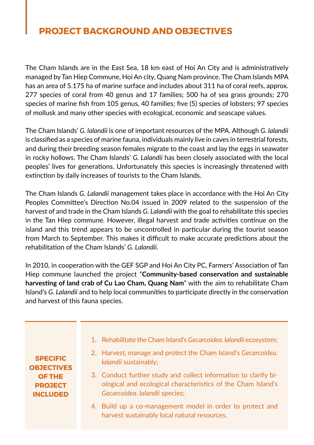# **PROJECT BACKGROUND AND OBJECTIVES**

The Cham Islands are in the East Sea, 18 km east of Hoi An City and is administratively managed by Tan Hiep Commune, Hoi An city, Quang Nam province. The Cham Islands MPA has an area of 5.175 ha of marine surface and includes about 311 ha of coral reefs, approx. 277 species of coral from 40 genus and 17 families; 500 ha of sea grass grounds; 270 species of marine fish from 105 genus, 40 families; five (5) species of lobsters; 97 species of mollusk and many other species with ecological, economic and seascape values.

The Cham Islands' *G. lalandii* is one of important resources of the MPA. Although *G. lalandii* is classified as a species of marine fauna, individuals mainly live in caves in terrestrial forests, and during their breeding season females migrate to the coast and lay the eggs in seawater in rocky hollows. The Cham Islands' *G. Lalandii* has been closely associated with the local peoples' lives for generations. Unfortunately this species is increasingly threatened with extinction by daily increases of tourists to the Cham Islands.

The Cham Islands *G. Lalandii* management takes place in accordance with the Hoi An City Peoples Committee's Direction No.04 issued in 2009 related to the suspension of the harvest of and trade in the Cham Islands *G. Lalandii* with the goal to rehabilitate this species in the Tan Hiep commune. However, illegal harvest and trade activities continue on the island and this trend appears to be uncontrolled in particular during the tourist season from March to September. This makes it difficult to make accurate predictions about the rehabilitation of the Cham Islands' *G. Lalandii*.

In 2010, in cooperation with the GEF SGP and Hoi An City PC, Farmers' Association of Tan Hiep commune launched the project "**Community-based conservation and sustainable harvesting of land crab of Cu Lao Cham, Quang Nam**" with the aim to rehabilitate Cham Island's *G. Lalandii* and to help local communities to participate directly in the conservation and harvest of this fauna species.

**Specific OBJECTIVES objectives of the PROJECT project included**

- 1. Rehabilitate the Cham Island's *Gecarcoidea. lalandii* ecosystem;
- 2. Harvest, manage and protect the Cham Island's *Gecarcoidea. lalandii* sustainably;
- 3. Conduct further study and collect information to clarify biological and ecological characteristics of the Cham Island's *Gecarcoidea. lalandii* species;
- 4. Build up a co-management model in order to protect and harvest sustainably local natural resources.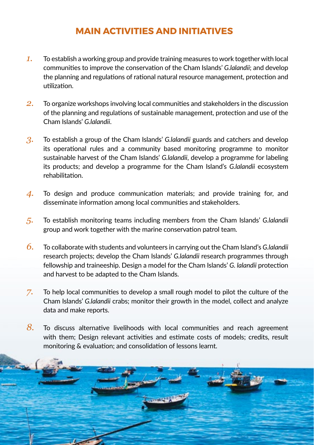## **MAIN ACTIVITIES AND INITIATIVES**

- *1.* To establish a working group and provide training measures to work together with local communities to improve the conservation of the Cham Islands' *G.lalandii*; and develop the planning and regulations of rational natural resource management, protection and utilization.
- *2.* To organize workshops involving local communities and stakeholders in the discussion of the planning and regulations of sustainable management, protection and use of the Cham Islands' *G.lalandii*.
- *3.* To establish a group of the Cham Islands' *G.lalandii* guards and catchers and develop its operational rules and a community based monitoring programme to monitor sustainable harvest of the Cham Islands' *G.lalandii*, develop a programme for labeling its products; and develop a programme for the Cham Island's *G.lalandii* ecosystem rehabilitation.
- *4.* To design and produce communication materials; and provide training for, and disseminate information among local communities and stakeholders.
- *5.* To establish monitoring teams including members from the Cham Islands' *G.lalandii* group and work together with the marine conservation patrol team.
- *6.* To collaborate with students and volunteers in carrying out the Cham Island's *G.lalandii*  research projects; develop the Cham Islands' *G.lalandii* research programmes through fellowship and traineeship. Design a model for the Cham Islands' *G. lalandii* protection and harvest to be adapted to the Cham Islands.
- *7.* To help local communities to develop a small rough model to pilot the culture of the Cham Islands' *G.lalandii* crabs; monitor their growth in the model, collect and analyze data and make reports.
- *8.* To discuss alternative livelihoods with local communities and reach agreement with them; Design relevant activities and estimate costs of models; credits, result monitoring & evaluation; and consolidation of lessons learnt.

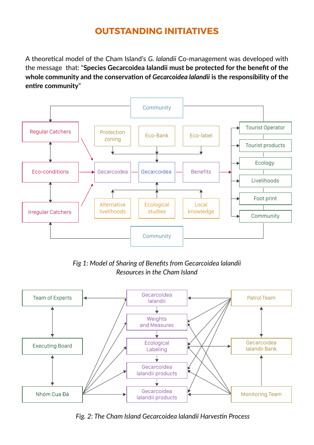## **OUTSTANDING INITIATIVES**

A theoretical model of the Cham Island's *G. lalandii* Co-management was developed with the message that: "**Species Gecarcoidea lalandii must be protected for the benefit of the whole community and the conservation of** *Gecarcoidea lalandii* **is the responsibility of the entire community**"



*Fig 1: Model of Sharing of Benefits from Gecarcoidea lalandii Resources in the Cham Island*



*Fig. 2: The Cham Island Gecarcoidea lalandii Harvestin Process*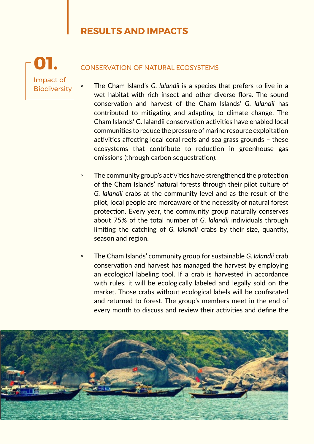## **RESULTS AND IMPACTS**

Impact of **Biodiversity 01.**

#### Conservation of Natural Ecosystems

- The Cham Island's *G. lalandii* is a species that prefers to live in a wet habitat with rich insect and other diverse flora. The sound conservation and harvest of the Cham Islands' *G. lalandii* has contributed to mitigating and adapting to climate change. The Cham Islands' G. lalandii conservation activities have enabled local communities to reduce the pressure of marine resource exploitation activities affecting local coral reefs and sea grass grounds – these ecosystems that contribute to reduction in greenhouse gas emissions (through carbon sequestration).
- The community group's activities have strengthened the protection of the Cham Islands' natural forests through their pilot culture of *G. lalandii* crabs at the community level and as the result of the pilot, local people are moreaware of the necessity of natural forest protection. Every year, the community group naturally conserves about 75% of the total number of *G. lalandii* individuals through limiting the catching of *G. lalandii* crabs by their size, quantity, season and region.
- The Cham Islands' community group for sustainable *G. lalandii* crab conservation and harvest has managed the harvest by employing an ecological labeling tool. If a crab is harvested in accordance with rules, it will be ecologically labeled and legally sold on the market. Those crabs without ecological labels will be confiscated and returned to forest. The group's members meet in the end of every month to discuss and review their activities and define the

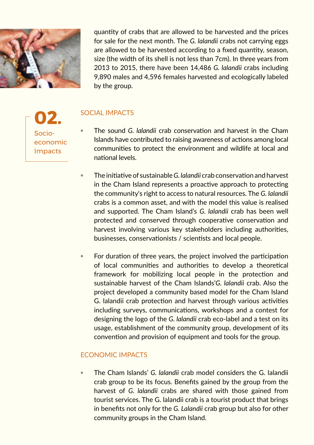

quantity of crabs that are allowed to be harvested and the prices for sale for the next month. The *G. lalandii* crabs not carrying eggs are allowed to be harvested according to a fixed quantity, season, size (the width of its shell is not less than 7cm). In three years from 2013 to 2015, there have been 14,486 *G. lalandii* crabs including 9,890 males and 4,596 females harvested and ecologically labeled by the group.

Socioeconomic Impacts **02.**

#### Social Impacts

- The sound *G. lalandii* crab conservation and harvest in the Cham Islands have contributed to raising awareness of actions among local communities to protect the environment and wildlife at local and national levels.
- The initiative of sustainable *G. lalandii* crab conservation and harvest in the Cham Island represents a proactive approach to protecting the community's right to access to natural resources. The *G. lalandii* crabs is a common asset, and with the model this value is realised and supported. The Cham Island's *G. lalandii* crab has been well protected and conserved through cooperative conservation and harvest involving various key stakeholders including authorities, businesses, conservationists / scientists and local people.
- For duration of three years, the project involved the participation of local communities and authorities to develop a theoretical framework for mobilizing local people in the protection and sustainable harvest of the Cham Islands'*G. lalandii* crab. Also the project developed a community based model for the Cham Island G. lalandii crab protection and harvest through various activities including surveys, communications, workshops and a contest for designing the logo of the *G. lalandii* crab eco-label and a test on its usage, establishment of the community group, development of its convention and provision of equipment and tools for the group.

#### Economic Impacts

◦ The Cham Islands' *G. lalandii* crab model considers the G. lalandii crab group to be its focus. Benefits gained by the group from the harvest of *G. lalandii* crabs are shared with those gained from tourist services. The G. lalandii crab is a tourist product that brings in benefits not only for the *G. Lalandii* crab group but also for other community groups in the Cham Island.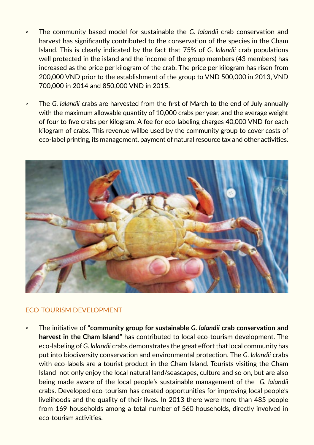- The community based model for sustainable the *G. lalandii* crab conservation and harvest has significantly contributed to the conservation of the species in the Cham Island. This is clearly indicated by the fact that 75% of *G. lalandii* crab populations well protected in the island and the income of the group members (43 members) has increased as the price per kilogram of the crab. The price per kilogram has risen from 200,000 VND prior to the establishment of the group to VND 500,000 in 2013, VND 700,000 in 2014 and 850,000 VND in 2015.
- The *G. lalandii* crabs are harvested from the first of March to the end of July annually with the maximum allowable quantity of 10,000 crabs per year, and the average weight of four to five crabs per kilogram. A fee for eco-labeling charges 40,000 VND for each kilogram of crabs. This revenue willbe used by the community group to cover costs of eco-label printing, its management, payment of natural resource tax and other activities.



#### Eco-tourism Development

◦ The initiative of "**community group for sustainable** *G. lalandii* **crab conservation and harvest in the Cham Island**" has contributed to local eco-tourism development. The eco-labeling of *G. lalandii* crabs demonstrates the great effort that local community has put into biodiversity conservation and environmental protection. The *G. lalandii* crabs with eco-labels are a tourist product in the Cham Island. Tourists visiting the Cham Island not only enjoy the local natural land/seascapes, culture and so on, but are also being made aware of the local people's sustainable management of the *G. lalandii* crabs. Developed eco-tourism has created opportunities for improving local people's livelihoods and the quality of their lives. In 2013 there were more than 485 people from 169 households among a total number of 560 households, directly involved in eco-tourism activities.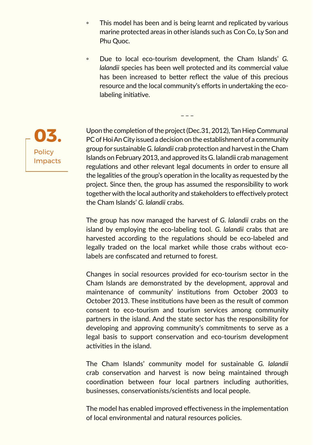- This model has been and is being learnt and replicated by various marine protected areas in other islands such as Con Co, Ly Son and Phu Quoc.
- Due to local eco-tourism development, the Cham Islands' *G. lalandii* species has been well protected and its commercial value has been increased to better reflect the value of this precious resource and the local community's efforts in undertaking the ecolabeling initiative.

 $-$ 

Upon the completion of the project (Dec.31, 2012), Tan Hiep Communal PC of Hoi An City issued a decision on the establishment of a community group for sustainable *G. lalandii* crab protection and harvest in the Cham Islands on February 2013, and approved its G. lalandii crab management regulations and other relevant legal documents in order to ensure all the legalities of the group's operation in the locality as requested by the project. Since then, the group has assumed the responsibility to work together with the local authority and stakeholders to effectively protect the Cham Islands' *G. lalandii* crabs.

The group has now managed the harvest of *G. lalandii* crabs on the island by employing the eco-labeling tool. *G. lalandii* crabs that are harvested according to the regulations should be eco-labeled and legally traded on the local market while those crabs without ecolabels are confiscated and returned to forest.

Changes in social resources provided for eco-tourism sector in the Cham Islands are demonstrated by the development, approval and maintenance of community' institutions from October 2003 to October 2013. These institutions have been as the result of common consent to eco-tourism and tourism services among community partners in the island. And the state sector has the responsibility for developing and approving community's commitments to serve as a legal basis to support conservation and eco-tourism development activities in the island.

The Cham Islands' community model for sustainable *G. lalandii* crab conservation and harvest is now being maintained through coordination between four local partners including authorities, businesses, conservationists/scientists and local people.

The model has enabled improved effectiveness in the implementation of local environmental and natural resources policies.

**Policy** Impacts **03.**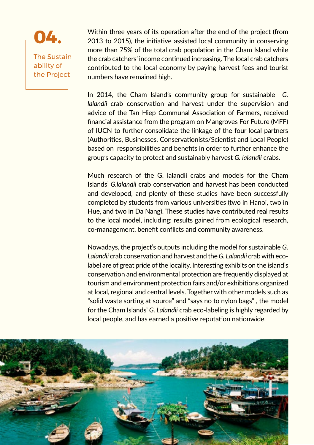

Within three years of its operation after the end of the project (from 2013 to 2015), the initiative assisted local community in conserving more than 75% of the total crab population in the Cham Island while the crab catchers' income continued increasing. The local crab catchers contributed to the local economy by paying harvest fees and tourist numbers have remained high.

In 2014, the Cham Island's community group for sustainable *G. lalandii* crab conservation and harvest under the supervision and advice of the Tan Hiep Communal Association of Farmers, received financial assistance from the program on Mangroves For Future (MFF) of IUCN to further consolidate the linkage of the four local partners (Authorities, Businesses, Conservationists/Scientist and Local People) based on responsibilities and benefits in order to further enhance the group's capacity to protect and sustainably harvest *G. lalandii* crabs.

Much research of the G. lalandii crabs and models for the Cham Islands' *G.lalandii* crab conservation and harvest has been conducted and developed, and plenty of these studies have been successfully completed by students from various universities (two in Hanoi, two in Hue, and two in Da Nang). These studies have contributed real results to the local model, including: results gained from ecological research, co-management, benefit conflicts and community awareness.

Nowadays, the project's outputs including the model for sustainable *G. Lalandii* crab conservation and harvest and the *G. Lalandii* crab with ecolabel are of great pride of the locality. Interesting exhibits on the island's conservation and environmental protection are frequently displayed at tourism and environment protection fairs and/or exhibitions organized at local, regional and central levels. Together with other models such as "solid waste sorting at source" and "says no to nylon bags" , the model for the Cham Islands' *G. Lalandii* crab eco-labeling is highly regarded by local people, and has earned a positive reputation nationwide.

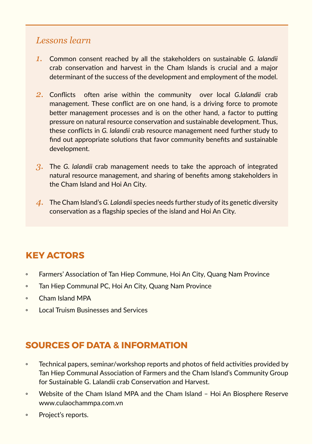### *Lessons learn*

- *1.* Common consent reached by all the stakeholders on sustainable *G. lalandii* crab conservation and harvest in the Cham Islands is crucial and a major determinant of the success of the development and employment of the model.
- *2.* Conflicts often arise within the community over local *G.lalandii* crab management. These conflict are on one hand, is a driving force to promote better management processes and is on the other hand, a factor to putting pressure on natural resource conservation and sustainable development. Thus, these conflicts in *G. lalandii* crab resource management need further study to find out appropriate solutions that favor community benefits and sustainable development.
- *3.* The *G. lalandii* crab management needs to take the approach of integrated natural resource management, and sharing of benefits among stakeholders in the Cham Island and Hoi An City.
- *4.* The Cham Island's *G. Lalandii* species needs further study of its genetic diversity conservation as a flagship species of the island and Hoi An City.

# **KEY ACTORS**

- Farmers' Association of Tan Hiep Commune, Hoi An City, Quang Nam Province
- Tan Hiep Communal PC, Hoi An City, Quang Nam Province
- Cham Island MPA
- Local Truism Businesses and Services

# **SOURCES OF DATA & INFORMATION**

- Technical papers, seminar/workshop reports and photos of field activities provided by Tan Hiep Communal Association of Farmers and the Cham Island's Community Group for Sustainable G. Lalandii crab Conservation and Harvest.
- Website of the Cham Island MPA and the Cham Island Hoi An Biosphere Reserve www.culaochammpa.com.vn
- Project's reports.